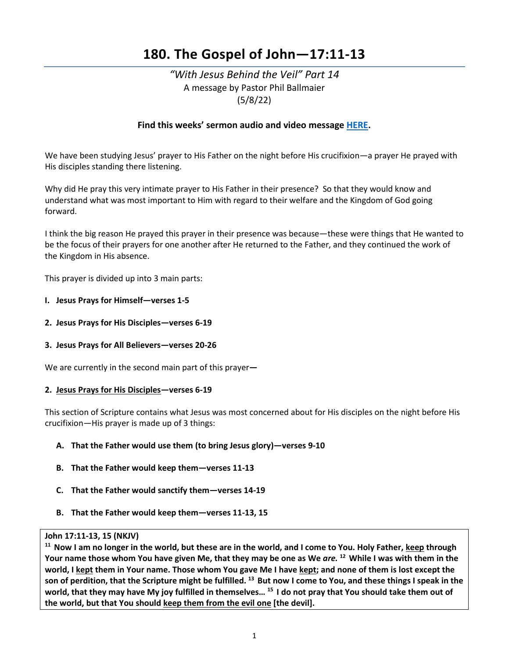# **180. The Gospel of John—17:11-13**

# *"With Jesus Behind the Veil" Part 14*  A message by Pastor Phil Ballmaier (5/8/22)

# **Find this weeks' sermon audio and video message [HERE.](http://www.ccelkgrove.org/sunday-archives)**

We have been studying Jesus' prayer to His Father on the night before His crucifixion—a prayer He prayed with His disciples standing there listening.

Why did He pray this very intimate prayer to His Father in their presence? So that they would know and understand what was most important to Him with regard to their welfare and the Kingdom of God going forward.

I think the big reason He prayed this prayer in their presence was because—these were things that He wanted to be the focus of their prayers for one another after He returned to the Father, and they continued the work of the Kingdom in His absence.

This prayer is divided up into 3 main parts:

- **I. Jesus Prays for Himself—verses 1-5**
- **2. Jesus Prays for His Disciples—verses 6-19**
- **3. Jesus Prays for All Believers—verses 20-26**

We are currently in the second main part of this prayer**—** 

#### **2. Jesus Prays for His Disciples—verses 6-19**

This section of Scripture contains what Jesus was most concerned about for His disciples on the night before His crucifixion—His prayer is made up of 3 things:

# **A. That the Father would use them (to bring Jesus glory)—verses 9-10**

- **B. That the Father would keep them—verses 11-13**
- **C. That the Father would sanctify them—verses 14-19**
- **B. That the Father would keep them—verses 11-13, 15**

John 17:11-13, 15 (NKJV)<br><sup>11</sup> Now I am no longer in the world, but these are in the world, and I come to You. Holy Father, <u>keep</u> through **Your name those whom You have given Me, that they may be one as We** *are.* **12 While I was with them in the world, I kept them in Your name. Those whom You gave Me I have kept; and none of them is lost except the son of perdition, that the Scripture might be fulfilled. 13 But now I come to You, and these things I speak in the world, that they may have My joy fulfilled in themselves… 15 I do not pray that You should take them out of the world, but that You should keep them from the evil one [the devil].**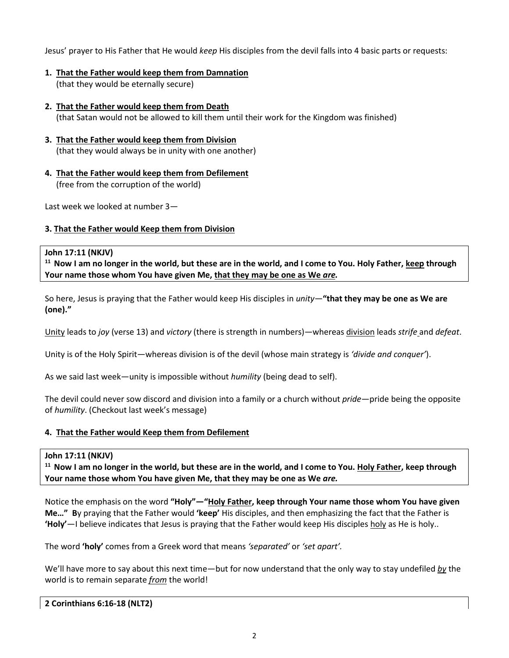Jesus' prayer to His Father that He would *keep* His disciples from the devil falls into 4 basic parts or requests:

- **1. That the Father would keep them from Damnation**  (that they would be eternally secure)
- **2. That the Father would keep them from Death**  (that Satan would not be allowed to kill them until their work for the Kingdom was finished)
- **3. That the Father would keep them from Division**  (that they would always be in unity with one another)
- **4. That the Father would keep them from Defilement**  (free from the corruption of the world)

Last week we looked at number 3—

# **3. That the Father would Keep them from Division**

# **John 17:11 (NKJV)**

**11 Now I am no longer in the world, but these are in the world, and I come to You. Holy Father, keep through Your name those whom You have given Me, that they may be one as We** *are.*

So here, Jesus is praying that the Father would keep His disciples in *unity*—**"that they may be one as We are (one)."**

Unity leads to *joy* (verse 13) and *victory* (there is strength in numbers)—whereas division leads *strife* and *defeat*.

Unity is of the Holy Spirit—whereas division is of the devil (whose main strategy is *'divide and conquer'*).

As we said last week—unity is impossible without *humility* (being dead to self).

The devil could never sow discord and division into a family or a church without *pride*—pride being the opposite of *humility*. (Checkout last week's message)

# **4. That the Father would Keep them from Defilement**

#### **John 17:11 (NKJV)**

**11 Now I am no longer in the world, but these are in the world, and I come to You. Holy Father, keep through Your name those whom You have given Me, that they may be one as We** *are.*

Notice the emphasis on the word **"Holy"—"Holy Father, keep through Your name those whom You have given Me…" B**y praying that the Father would **'keep'** His disciples, and then emphasizing the fact that the Father is **'Holy'**—I believe indicates that Jesus is praying that the Father would keep His disciples holy as He is holy..

The word **'holy'** comes from a Greek word that means *'separated'* or *'set apart'.*

We'll have more to say about this next time—but for now understand that the only way to stay undefiled *by* the world is to remain separate *from* the world!

**2 Corinthians 6:16-18 (NLT2)**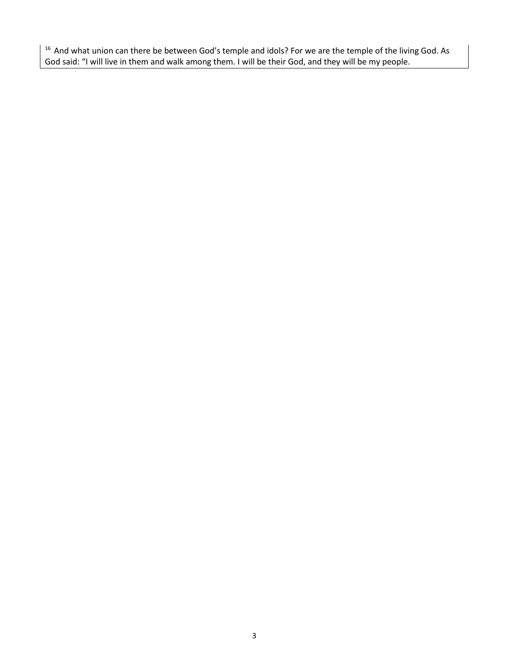<sup>16</sup> And what union can there be between God's temple and idols? For we are the temple of the living God. As God said: "I will live in them and walk among them. I will be their God, and they will be my people.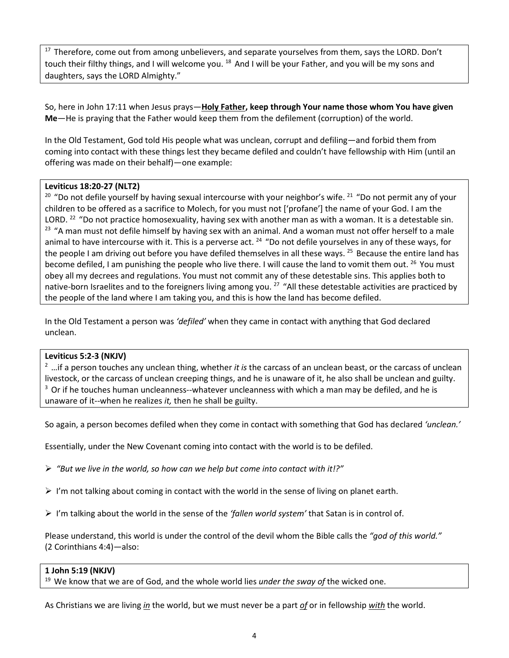<sup>17</sup> Therefore, come out from among unbelievers, and separate yourselves from them, says the LORD. Don't touch their filthy things, and I will welcome you. <sup>18</sup> And I will be your Father, and you will be my sons and daughters, says the LORD Almighty."

So, here in John 17:11 when Jesus prays—**Holy Father, keep through Your name those whom You have given Me**—He is praying that the Father would keep them from the defilement (corruption) of the world.

In the Old Testament, God told His people what was unclean, corrupt and defiling—and forbid them from coming into contact with these things lest they became defiled and couldn't have fellowship with Him (until an offering was made on their behalf)—one example:

# **Leviticus 18:20-27 (NLT2)**

 $20$  "Do not defile yourself by having sexual intercourse with your neighbor's wife.  $21$  "Do not permit any of your children to be offered as a sacrifice to Molech, for you must not ['profane'] the name of your God. I am the LORD.<sup>22</sup> "Do not practice homosexuality, having sex with another man as with a woman. It is a detestable sin. <sup>23</sup> "A man must not defile himself by having sex with an animal. And a woman must not offer herself to a male animal to have intercourse with it. This is a perverse act.  $^{24}$  "Do not defile yourselves in any of these ways, for the people I am driving out before you have defiled themselves in all these ways. <sup>25</sup> Because the entire land has become defiled, I am punishing the people who live there. I will cause the land to vomit them out. <sup>26</sup> You must obey all my decrees and regulations. You must not commit any of these detestable sins. This applies both to native-born Israelites and to the foreigners living among you.<sup>27</sup> "All these detestable activities are practiced by the people of the land where I am taking you, and this is how the land has become defiled.

In the Old Testament a person was *'defiled'* when they came in contact with anything that God declared unclean.

# **Leviticus 5:2-3 (NKJV)**

2 …if a person touches any unclean thing, whether *it is* the carcass of an unclean beast, or the carcass of unclean livestock, or the carcass of unclean creeping things, and he is unaware of it, he also shall be unclean and guilty.  $3$  Or if he touches human uncleanness--whatever uncleanness with which a man may be defiled, and he is unaware of it--when he realizes *it,* then he shall be guilty.

So again, a person becomes defiled when they come in contact with something that God has declared *'unclean.'*

Essentially, under the New Covenant coming into contact with the world is to be defiled.

*"But we live in the world, so how can we help but come into contact with it!?"*

- $\triangleright$  I'm not talking about coming in contact with the world in the sense of living on planet earth.
- I'm talking about the world in the sense of the *'fallen world system'* that Satan is in control of.

Please understand, this world is under the control of the devil whom the Bible calls the *"god of this world."* (2 Corinthians 4:4)*—*also:

#### **1 John 5:19 (NKJV)**

19 We know that we are of God, and the whole world lies *under the sway of* the wicked one.

As Christians we are living *in* the world, but we must never be a part *of* or in fellowship *with* the world.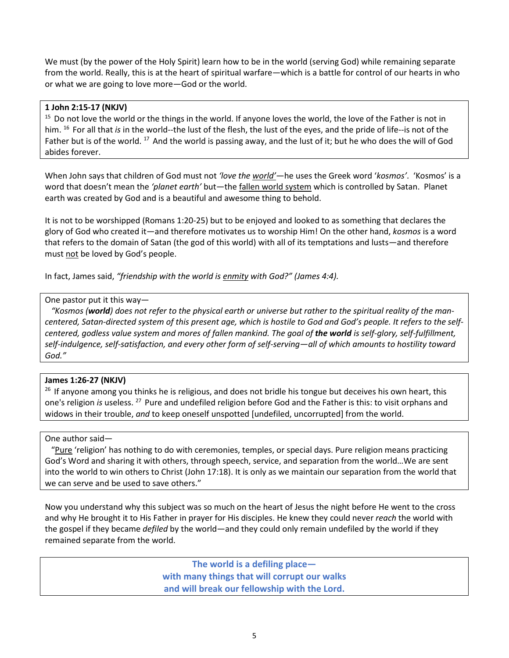We must (by the power of the Holy Spirit) learn how to be in the world (serving God) while remaining separate from the world. Really, this is at the heart of spiritual warfare—which is a battle for control of our hearts in who or what we are going to love more—God or the world.

# **1 John 2:15-17 (NKJV)**

<sup>15</sup> Do not love the world or the things in the world. If anyone loves the world, the love of the Father is not in him. 16 For all that *is* in the world--the lust of the flesh, the lust of the eyes, and the pride of life--is not of the Father but is of the world. <sup>17</sup> And the world is passing away, and the lust of it; but he who does the will of God abides forever.

When John says that children of God must not *'love the world'*—he uses the Greek word '*kosmos'*. 'Kosmos' is a word that doesn't mean the *'planet earth'* but—the fallen world system which is controlled by Satan. Planet earth was created by God and is a beautiful and awesome thing to behold.

It is not to be worshipped (Romans 1:20-25) but to be enjoyed and looked to as something that declares the glory of God who created it—and therefore motivates us to worship Him! On the other hand, *kosmos* is a word that refers to the domain of Satan (the god of this world) with all of its temptations and lusts—and therefore must not be loved by God's people.

In fact, James said, *"friendship with the world is enmity with God?" (James 4:4).*

# One pastor put it this way—

 *"Kosmos (world) does not refer to the physical earth or universe but rather to the spiritual reality of the mancentered, Satan-directed system of this present age, which is hostile to God and God's people. It refers to the selfcentered, godless value system and mores of fallen mankind. The goal of the world is self-glory, self-fulfillment, self-indulgence, self-satisfaction, and every other form of self-serving—all of which amounts to hostility toward God."*

# **James 1:26-27 (NKJV)**

<sup>26</sup> If anyone among you thinks he is religious, and does not bridle his tongue but deceives his own heart, this one's religion *is* useless. 27 Pure and undefiled religion before God and the Father is this: to visit orphans and widows in their trouble, *and* to keep oneself unspotted [undefiled, uncorrupted] from the world.

#### One author said—

 "Pure 'religion' has nothing to do with ceremonies, temples, or special days. Pure religion means practicing God's Word and sharing it with others, through speech, service, and separation from the world…We are sent into the world to win others to Christ (John 17:18). It is only as we maintain our separation from the world that we can serve and be used to save others."

Now you understand why this subject was so much on the heart of Jesus the night before He went to the cross and why He brought it to His Father in prayer for His disciples. He knew they could never *reach* the world with the gospel if they became *defiled* by the world—and they could only remain undefiled by the world if they remained separate from the world.

> **The world is a defiling place with many things that will corrupt our walks and will break our fellowship with the Lord.**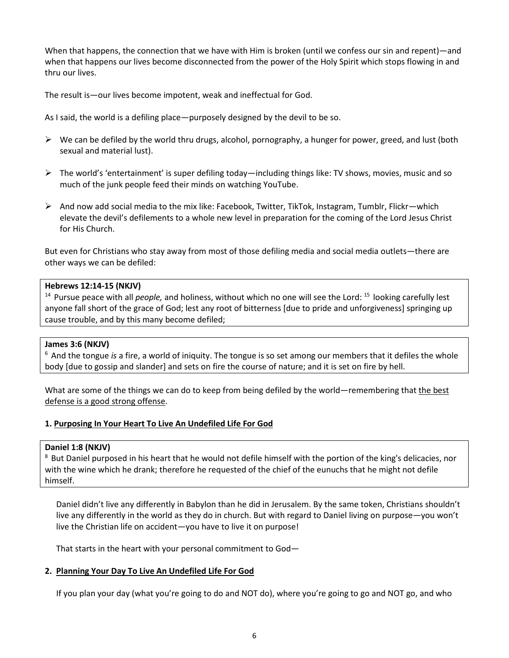When that happens, the connection that we have with Him is broken (until we confess our sin and repent)—and when that happens our lives become disconnected from the power of the Holy Spirit which stops flowing in and thru our lives.

The result is—our lives become impotent, weak and ineffectual for God.

As I said, the world is a defiling place—purposely designed by the devil to be so.

- $\triangleright$  We can be defiled by the world thru drugs, alcohol, pornography, a hunger for power, greed, and lust (both sexual and material lust).
- $\triangleright$  The world's 'entertainment' is super defiling today—including things like: TV shows, movies, music and so much of the junk people feed their minds on watching YouTube.
- $\triangleright$  And now add social media to the mix like: Facebook, Twitter, TikTok, Instagram, Tumblr, Flickr—which elevate the devil's defilements to a whole new level in preparation for the coming of the Lord Jesus Christ for His Church.

But even for Christians who stay away from most of those defiling media and social media outlets—there are other ways we can be defiled:

# **Hebrews 12:14-15 (NKJV)**

<sup>14</sup> Pursue peace with all *people*, and holiness, without which no one will see the Lord: <sup>15</sup> looking carefully lest anyone fall short of the grace of God; lest any root of bitterness [due to pride and unforgiveness] springing up cause trouble, and by this many become defiled;

#### **James 3:6 (NKJV)**

6 And the tongue *is* a fire, a world of iniquity. The tongue is so set among our members that it defiles the whole body [due to gossip and slander] and sets on fire the course of nature; and it is set on fire by hell.

What are some of the things we can do to keep from being defiled by the world—remembering that the best defense is a good strong offense.

# **1. Purposing In Your Heart To Live An Undefiled Life For God**

#### **Daniel 1:8 (NKJV)**

<sup>8</sup> But Daniel purposed in his heart that he would not defile himself with the portion of the king's delicacies, nor with the wine which he drank; therefore he requested of the chief of the eunuchs that he might not defile himself.

Daniel didn't live any differently in Babylon than he did in Jerusalem. By the same token, Christians shouldn't live any differently in the world as they do in church. But with regard to Daniel living on purpose—you won't live the Christian life on accident—you have to live it on purpose!

That starts in the heart with your personal commitment to God—

# **2. Planning Your Day To Live An Undefiled Life For God**

If you plan your day (what you're going to do and NOT do), where you're going to go and NOT go, and who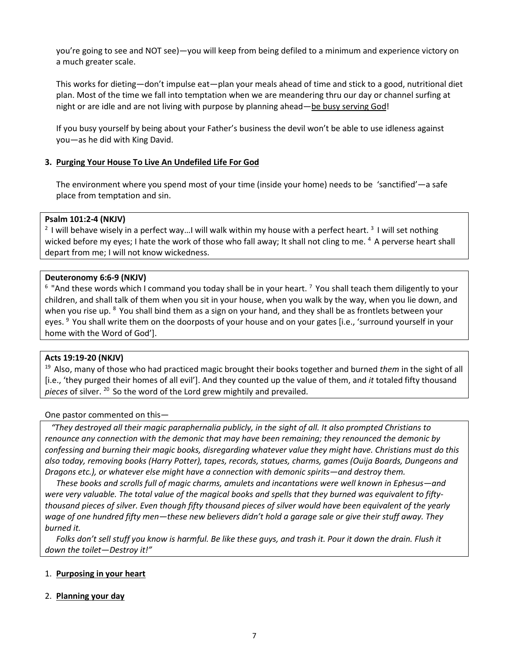you're going to see and NOT see)—you will keep from being defiled to a minimum and experience victory on a much greater scale.

This works for dieting—don't impulse eat—plan your meals ahead of time and stick to a good, nutritional diet plan. Most of the time we fall into temptation when we are meandering thru our day or channel surfing at night or are idle and are not living with purpose by planning ahead—be busy serving God!

If you busy yourself by being about your Father's business the devil won't be able to use idleness against you—as he did with King David.

# **3. Purging Your House To Live An Undefiled Life For God**

The environment where you spend most of your time (inside your home) needs to be 'sanctified'—a safe place from temptation and sin.

# **Psalm 101:2-4 (NKJV)**

<sup>2</sup> I will behave wisely in a perfect way...I will walk within my house with a perfect heart. <sup>3</sup> I will set nothing wicked before my eyes; I hate the work of those who fall away; It shall not cling to me. 4 A perverse heart shall depart from me; I will not know wickedness.

# **Deuteronomy 6:6-9 (NKJV)**

 $6$  "And these words which I command you today shall be in your heart.  $7$  You shall teach them diligently to your children, and shall talk of them when you sit in your house, when you walk by the way, when you lie down, and when you rise up. <sup>8</sup> You shall bind them as a sign on your hand, and they shall be as frontlets between your eyes. <sup>9</sup> You shall write them on the doorposts of your house and on your gates [i.e., 'surround yourself in your home with the Word of God'].

#### **Acts 19:19-20 (NKJV)**

19 Also, many of those who had practiced magic brought their books together and burned *them* in the sight of all [i.e., 'they purged their homes of all evil']. And they counted up the value of them, and *it* totaled fifty thousand *pieces* of silver. 20 So the word of the Lord grew mightily and prevailed.

#### One pastor commented on this—

 *"They destroyed all their magic paraphernalia publicly, in the sight of all. It also prompted Christians to renounce any connection with the demonic that may have been remaining; they renounced the demonic by confessing and burning their magic books, disregarding whatever value they might have. Christians must do this also today, removing books (Harry Potter), tapes, records, statues, charms, games (Ouija Boards, Dungeons and Dragons etc.), or whatever else might have a connection with demonic spirits—and destroy them.* 

*These books and scrolls full of magic charms, amulets and incantations were well known in Ephesus—and*  were very valuable. The total value of the magical books and spells that they burned was equivalent to fifty*thousand pieces of silver. Even though fifty thousand pieces of silver would have been equivalent of the yearly wage of one hundred fifty men—these new believers didn't hold a garage sale or give their stuff away. They burned it.* 

*Folks don't sell stuff you know is harmful. Be like these guys, and trash it. Pour it down the drain. Flush it down the toilet—Destroy it!"* 

# 1. **Purposing in your heart**

#### 2. **Planning your day**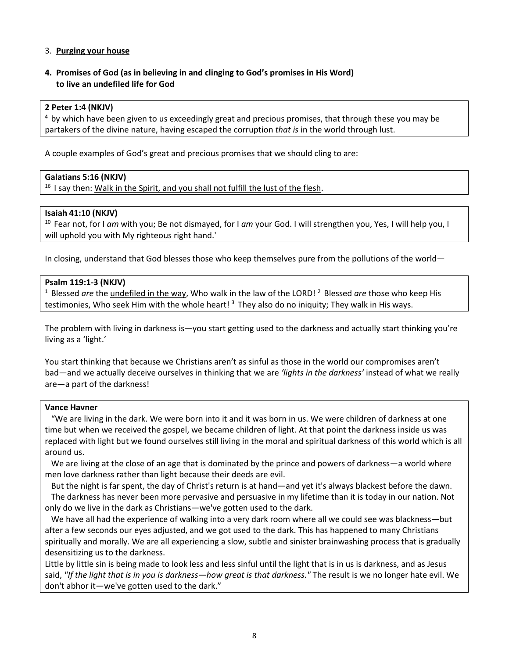# 3. **Purging your house**

# **4. Promises of God (as in believing in and clinging to God's promises in His Word) to live an undefiled life for God**

#### **2 Peter 1:4 (NKJV)**

<sup>4</sup> by which have been given to us exceedingly great and precious promises, that through these you may be partakers of the divine nature, having escaped the corruption *that is* in the world through lust.

A couple examples of God's great and precious promises that we should cling to are:

# **Galatians 5:16 (NKJV)**

<sup>16</sup> I say then: Walk in the Spirit, and you shall not fulfill the lust of the flesh.

# **Isaiah 41:10 (NKJV)**

10 Fear not, for I *am* with you; Be not dismayed, for I *am* your God. I will strengthen you, Yes, I will help you, I will uphold you with My righteous right hand.'

In closing, understand that God blesses those who keep themselves pure from the pollutions of the world—

# **Psalm 119:1-3 (NKJV)**

<sup>1</sup> Blessed *are* the undefiled in the way, Who walk in the law of the LORD!<sup>2</sup> Blessed *are* those who keep His testimonies, Who seek Him with the whole heart!<sup>3</sup> They also do no iniquity; They walk in His ways.

The problem with living in darkness is—you start getting used to the darkness and actually start thinking you're living as a 'light.'

You start thinking that because we Christians aren't as sinful as those in the world our compromises aren't bad—and we actually deceive ourselves in thinking that we are *'lights in the darkness'* instead of what we really are—a part of the darkness!

#### **Vance Havner**

 "We are living in the dark. We were born into it and it was born in us. We were children of darkness at one time but when we received the gospel, we became children of light. At that point the darkness inside us was replaced with light but we found ourselves still living in the moral and spiritual darkness of this world which is all around us.

We are living at the close of an age that is dominated by the prince and powers of darkness—a world where men love darkness rather than light because their deeds are evil.

 But the night is far spent, the day of Christ's return is at hand—and yet it's always blackest before the dawn. The darkness has never been more pervasive and persuasive in my lifetime than it is today in our nation. Not only do we live in the dark as Christians—we've gotten used to the dark.

 We have all had the experience of walking into a very dark room where all we could see was blackness—but after a few seconds our eyes adjusted, and we got used to the dark. This has happened to many Christians spiritually and morally. We are all experiencing a slow, subtle and sinister brainwashing process that is gradually desensitizing us to the darkness.

Little by little sin is being made to look less and less sinful until the light that is in us is darkness, and as Jesus said, *"If the light that is in you is darkness—how great is that darkness."* The result is we no longer hate evil. We don't abhor it—we've gotten used to the dark."